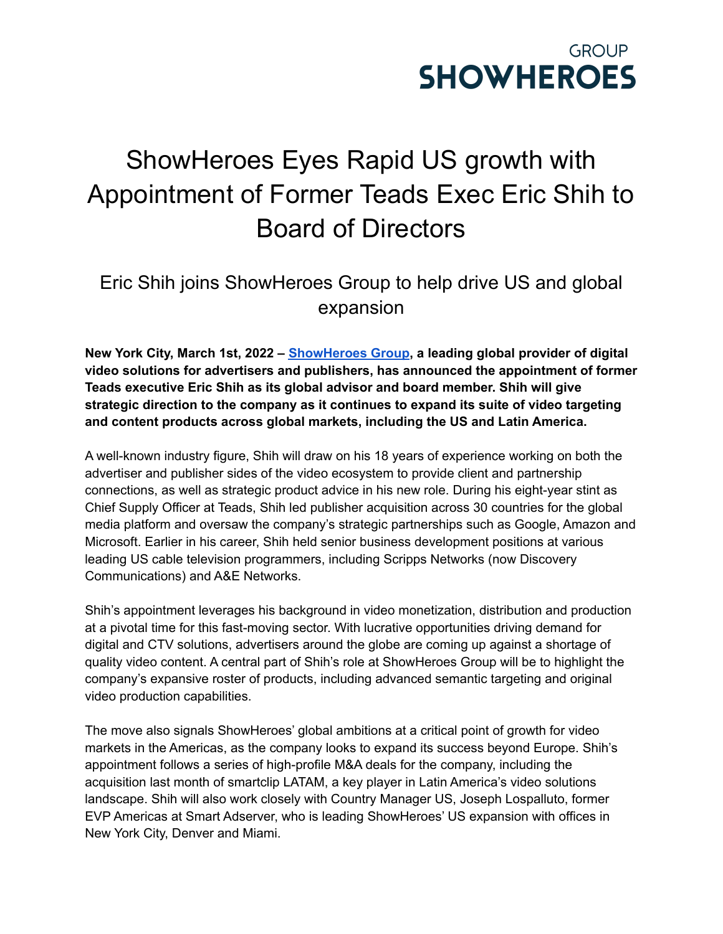

## ShowHeroes Eyes Rapid US growth with Appointment of Former Teads Exec Eric Shih to Board of Directors

## Eric Shih joins ShowHeroes Group to help drive US and global expansion

**New York City, March 1st, 2022 – [ShowHeroes](https://showheroes.com/) Group, a leading global provider of digital video solutions for advertisers and publishers, has announced the appointment of former Teads executive Eric Shih as its global advisor and board member. Shih will give strategic direction to the company as it continues to expand its suite of video targeting and content products across global markets, including the US and Latin America.**

A well-known industry figure, Shih will draw on his 18 years of experience working on both the advertiser and publisher sides of the video ecosystem to provide client and partnership connections, as well as strategic product advice in his new role. During his eight-year stint as Chief Supply Officer at Teads, Shih led publisher acquisition across 30 countries for the global media platform and oversaw the company's strategic partnerships such as Google, Amazon and Microsoft. Earlier in his career, Shih held senior business development positions at various leading US cable television programmers, including Scripps Networks (now Discovery Communications) and A&E Networks.

Shih's appointment leverages his background in video monetization, distribution and production at a pivotal time for this fast-moving sector. With lucrative opportunities driving demand for digital and CTV solutions, advertisers around the globe are coming up against a shortage of quality video content. A central part of Shih's role at ShowHeroes Group will be to highlight the company's expansive roster of products, including advanced semantic targeting and original video production capabilities.

The move also signals ShowHeroes' global ambitions at a critical point of growth for video markets in the Americas, as the company looks to expand its success beyond Europe. Shih's appointment follows a series of high-profile M&A deals for the company, including the acquisition last month of smartclip LATAM, a key player in Latin America's video solutions landscape. Shih will also work closely with Country Manager US, Joseph Lospalluto, former EVP Americas at Smart Adserver, who is leading ShowHeroes' US expansion with offices in New York City, Denver and Miami.